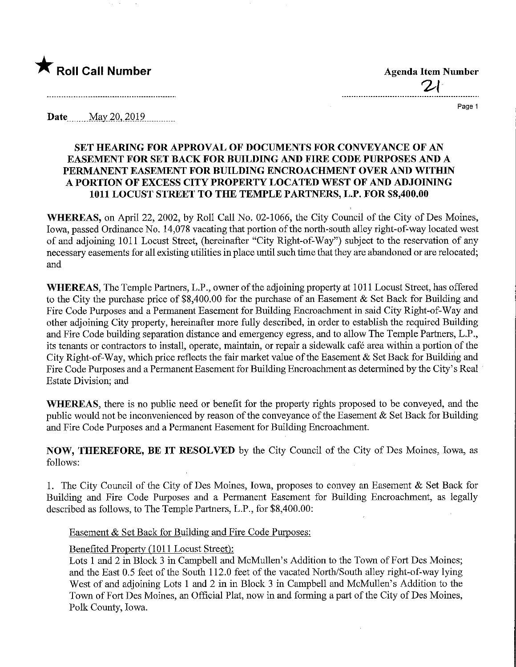

 $2\cdot$ 

Page 1

**Date** May 20, 2019

## SET HEARING FOR APPROVAL OF DOCUMENTS FOR CONVEYANCE OF AN EASEMENT FOR SET BACK FOR BUILDING AND FIRE CODE PURPOSES AND A PERMANENT EASEMENT FOR BUILDING ENCROACHMENT OVER AND WITHIN A PORTION OF EXCESS CITY PROPERTY LOCATED WEST OF AND ADJOINING 1011 LOCUST STREET TO THE TEMPLE PARTNERS, L.P. FOR \$S,400.00

WHEREAS, on April 22, 2002, by Roll Call No. 02-1066, the City Council of the City of Des Moines, Iowa, passed Ordinance No. 14,078 vacating that portion of the north-south alley right-of-way located west of and adjoining 1011 Locust Street, (hereinafter "City Right-of-Way") subject to the reservation of any necessary easements for all existing utilities in place until such time that they are abandoned or are relocated; and

WHEREAS, The Temple Partners, L.P., owner of the adjoining property at 1011 Locust Street, has offered to the City the purchase price of \$8,400.00 for the purchase of an Easement  $\&$  Set Back for Building and Fire Code Purposes and a Permanent Easement for Building Encroachment in said City Right-of-Way and other adjoining City property, hereinafter more fully described, in order to establish the required Building and Fire Code building separation distance and emergency egress, and to allow The Temple Partners, L.P., its tenants or contractors to install, operate, maintain, or repair a sidewalk café area within a portion of the City Right-of-Way, which price reflects the fair market value of the Easement & Set Back for Building and Fire Code Purposes and a Permanent Easement for Building Encroachment as determined by the City's Real Estate Division; and

WHEREAS, there is no public need or benefit for the property rights proposed to be conveyed, and the public would not be inconvenienced by reason of the conveyance of the Easement  $\&$  Set Back for Building and Fire Code Purposes and a Permanent Easement for Building Encroachment.

NOW, THEREFORE, BE IT RESOLVED by the City Council of the City of Des Moines, Iowa, as follows:

1. The City Council of the City of Des Moines, Iowa, proposes to convey an Easement & Set Back for Building and Fire Code Purposes and a Permanent Easement for Building Encroachment, as legally described as follows, to The Temple Partners, L.P., for \$8,400.00:

Easement & Set Back for Building and Fire Code Purposes:

## Benefited Property (1011 Locust Street):

Lots 1 and 2 in Block 3 in Campbell and McMullen's Addition to the Town of Fort Des Moines; and the East 0.5 feet of the South 112.0 feet of the vacated North/South alley right-of-way lymg West of and adjoining Lots 1 and 2 in in Block 3 in Campbell and McMullen's Addition to the Town of Fort Des Moines, an Official Plat, now in and forming a part of the City of Des Moines, Polk County, Iowa.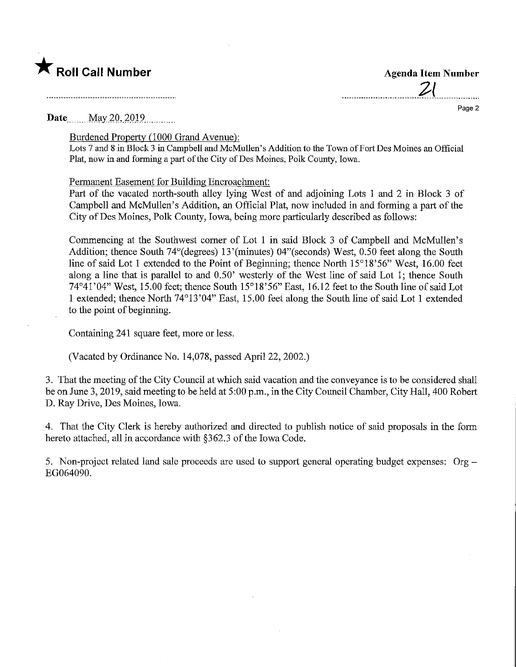

a de la construcción de la construcción de la construcción de la construcción de la construcción de la construcción<br>En la construcción de la construcción de la construcción de la construcción de la construcción de la const

 $2($ 

Page 2

Date May 20, 2019

Burdened Property (1000 Grand Avenue):

Lots 7 and 8 in Block 3 in Campbell and McMullen's Addition to the Town of Fort Des Moines an Official Plat, now in and forming a part of the City of Des Moines, Polk County, Iowa.

Permanent Easement for Building Encroachment:

Part of the vacated north-south alley lying West of and adjoining Lots 1 and 2 in Block 3 of Campbell and McMullen's Addition, an Official Plat, now included in and forming a part of the City of Des Moines, Polk County, Iowa, being more particularly described as follows:

Commencing at the Southwest comer of Lot 1 in said Block 3 of Campbell and McMullen's Addition; thence South 74°(degrees) 13'(minutes) 04"(seconds) West, 0.50 feet along the South line of said Lot 1 extended to the Point of Beginning; thence North 15°18'56" West, 16.00 feet along a line that is parallel to and 0.50 westerly of the West line of said Lot 1; thence South 74°41'04" West, 15.00 feet; thence South 15°18'56" East, 16.12 feet to the South line of said Lot 1 extended; thence North 74°13'04" East, 15.00 feet along the South line of said Lot 1 extended to the point of beginning.

Containing 241 square feet, more or less.

(Vacated by Ordinance No. 14,078, passed April 22, 2002.)

3. That the meeting of the City Council at which said vacation and the conveyance is to be considered shall be on June 3,2019, said meeting to be held at 5:00 p.m., in the City Council Chamber, City Hall, 400 Robert D. Ray Drive, Des Moines, Iowa.

4. That the City Clerk is hereby authorized and directed to publish notice of said proposals in the form hereto attached, all in accordance with §362.3 of the Iowa Code.

5. Non-project related land sale proceeds are used to support general operating budget expenses: Org - EG064090.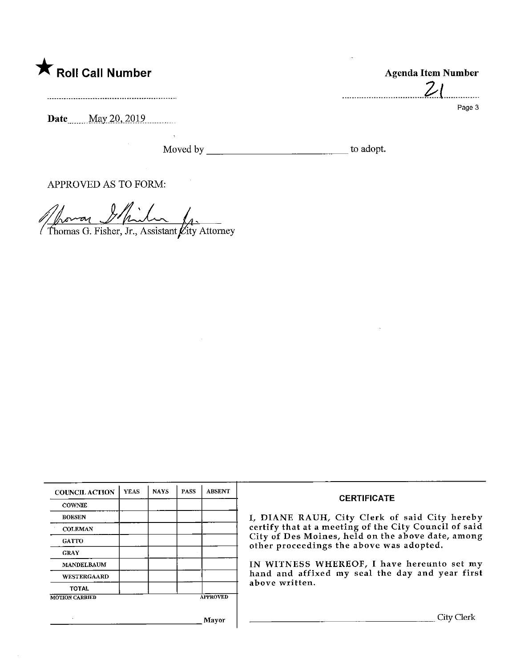

Date<sub>max</sub> May 20, 2019

Moved by to adopt.

Agenda Item Number

 $21$ 

Page 3

. . . . . . . . . .

APPROVED AS TO FORM:

 $\mathbb{Z}^{\times}$  $\%$ o $\sim$ or Thomas G. Fisher, Jr., Assistant  $\cancel{\mu}$ ity Attorney

| <b>COUNCIL ACTION</b> | <b>YEAS</b> | <b>NAYS</b> | <b>PASS</b> | <b>ABSENT</b>   | <b>CERTIFICATE</b><br>I, DIANE RAUH, City Clerk of said City hereby<br>certify that at a meeting of the City Council of said<br>City of Des Moines, held on the above date, among<br>other proceedings the above was adopted.<br>IN WITNESS WHEREOF, I have hereunto set my<br>hand and affixed my seal the day and year first<br>above written. |
|-----------------------|-------------|-------------|-------------|-----------------|--------------------------------------------------------------------------------------------------------------------------------------------------------------------------------------------------------------------------------------------------------------------------------------------------------------------------------------------------|
| <b>COWNIE</b>         |             |             |             |                 |                                                                                                                                                                                                                                                                                                                                                  |
| <b>BOESEN</b>         |             |             |             |                 |                                                                                                                                                                                                                                                                                                                                                  |
| <b>COLEMAN</b>        |             |             |             |                 |                                                                                                                                                                                                                                                                                                                                                  |
| <b>GATTO</b>          |             |             |             |                 |                                                                                                                                                                                                                                                                                                                                                  |
| <b>GRAY</b>           |             |             |             |                 |                                                                                                                                                                                                                                                                                                                                                  |
| <b>MANDELBAUM</b>     |             |             |             |                 |                                                                                                                                                                                                                                                                                                                                                  |
| WESTERGAARD           |             |             |             |                 |                                                                                                                                                                                                                                                                                                                                                  |
| <b>TOTAL</b>          |             |             |             |                 |                                                                                                                                                                                                                                                                                                                                                  |
| <b>MOTION CARRIED</b> |             |             |             | <b>APPROVED</b> |                                                                                                                                                                                                                                                                                                                                                  |
|                       |             |             |             | Mavor           | City $\mathfrak{t}$                                                                                                                                                                                                                                                                                                                              |